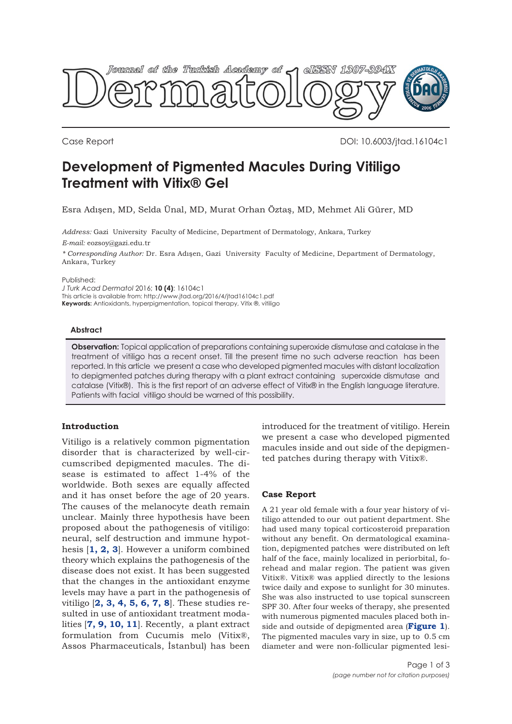

Case Report DOI: 10.6003/jtad.16104c1

# **Development of Pigmented Macules During Vitiligo Treatment with Vitix® Gel**

Esra Adışen, MD, Selda Ünal, MD, Murat Orhan Öztaş, MD, Mehmet Ali Gürer, MD

*Address:* Gazi University Faculty of Medicine, Department of Dermatology, Ankara, Turkey *E-mail:* eozsoy@gazi.edu.tr

*\* Corresponding Author:* Dr. Esra Adışen, Gazi University Faculty of Medicine, Department of Dermatology, Ankara, Turkey

Published:

*J Turk Acad Dermatol* 2016; **10 (4)**: 16104c1

This article is available from: http://www.jtad.org/2016/4/jtad16104c1.pdf

**Keywords:** Antioxidants, hyperpigmentation, topical therapy, Vitix ®, vitiligo

#### **Abstract**

**Observation:** Topical application of preparations containing superoxide dismutase and catalase in the treatment of vitiligo has a recent onset. Till the present time no such adverse reaction has been reported. In this article we present a case who developed pigmented macules with distant localization to depigmented patches during therapy with a plant extract containing superoxide dismutase and catalase (Vitix®). This is the first report of an adverse effect of Vitix® in the English language literature. Patients with facial vitiligo should be warned of this possibility.

## **Introduction**

Vitiligo is a relatively common pigmentation disorder that is characterized by well-circumscribed depigmented macules. The disease is estimated to affect 1-4% of the worldwide. Both sexes are equally affected and it has onset before the age of 20 years. The causes of the melanocyte death remain unclear. Mainly three hypothesis have been proposed about the pathogenesis of vitiligo: neural, self destruction and immune hypothesis [**[1, 2,](#page-2-0) [3](#page-2-0)**]. However a uniform combined theory which explains the pathogenesis of the disease does not exist. It has been suggested that the changes in the antioxidant enzyme levels may have a part in the pathogenesis of vitiligo [**[2,](#page-2-0) [3, 4, 5,](#page-2-0) [6, 7,](#page-2-0) [8](#page-2-0)**]. These studies resulted in use of antioxidant treatment modalities [**[7, 9, 10, 11](#page-2-0)**]. Recently, a plant extract formulation from Cucumis melo (Vitix®, Assos Pharmaceuticals, İstanbul) has been introduced for the treatment of vitiligo. Herein we present a case who developed pigmented macules inside and out side of the depigmented patches during therapy with Vitix®.

#### **Case Report**

A 21 year old female with a four year history of vitiligo attended to our out patient department. She had used many topical corticosteroid preparation without any benefit. On dermatological examination, depigmented patches were distributed on left half of the face, mainly localized in periorbital, forehead and malar region. The patient was given Vitix®. Vitix® was applied directly to the lesions twice daily and expose to sunlight for 30 minutes. She was also instructed to use topical sunscreen SPF 30. After four weeks of therapy, she presented with numerous pigmented macules placed both inside and outside of depigmented area (**[Figure 1](#page-1-0)**). The pigmented macules vary in size, up to 0.5 cm diameter and were non-follicular pigmented lesi-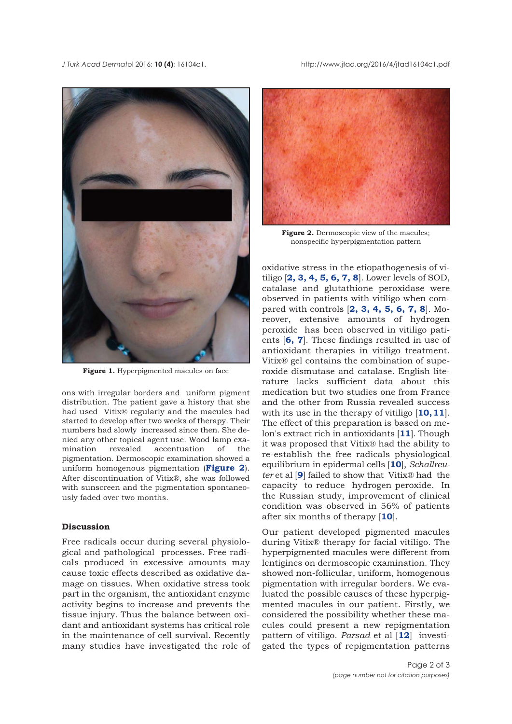<span id="page-1-0"></span>*J Turk Acad Dermato*l 2016; **10 (4)**: 16104c1. http://www.jtad.org/2016/4/jtad16104c1.pdf



Figure 1. Hyperpigmented macules on face

ons with irregular borders and uniform pigment distribution. The patient gave a history that she had used Vitix® regularly and the macules had started to develop after two weeks of therapy. Their numbers had slowly increased since then. She denied any other topical agent use. Wood lamp examination revealed accentuation of the pigmentation. Dermoscopic examination showed a uniform homogenous pigmentation (**Figure 2**). After discontinuation of Vitix®, she was followed with sunscreen and the pigmentation spontaneously faded over two months.

### **Discussion**

Free radicals occur during several physiological and pathological processes. Free radicals produced in excessive amounts may cause toxic effects described as oxidative damage on tissues. When oxidative stress took part in the organism, the antioxidant enzyme activity begins to increase and prevents the tissue injury. Thus the balance between oxidant and antioxidant systems has critical role in the maintenance of cell survival. Recently many studies have investigated the role of



**Figure 2.** Dermoscopic view of the macules: nonspecific hyperpigmentation pattern

oxidative stress in the etiopathogenesis of vitiligo [**[2, 3, 4, 5, 6, 7, 8](#page-2-0)**]. Lower levels of SOD, catalase and glutathione peroxidase were observed in patients with vitiligo when compared with controls [**[2,](#page-2-0) [3,](#page-2-0) [4, 5,](#page-2-0) [6, 7, 8](#page-2-0)**]. Moreover, extensive amounts of hydrogen peroxide has been observed in vitiligo patients [**[6,](#page-2-0) [7](#page-2-0)**]. These findings resulted in use of antioxidant therapies in vitiligo treatment. Vitix® gel contains the combination of superoxide dismutase and catalase. English literature lacks sufficient data about this medication but two studies one from France and the other from Russia revealed success with its use in the therapy of vitiligo [**[10, 11](#page-2-0)**]. The effect of this preparation is based on melon's extract rich in antioxidants [**[11](#page-2-0)**]. Though it was proposed that Vitix® had the ability to re-establish the free radicals physiological equilibrium in epidermal cells [**[10](#page-2-0)**], *Schallreuter* et al [**[9](#page-2-0)**] failed to show that Vitix® had the capacity to reduce hydrogen peroxide. In the Russian study, improvement of clinical condition was observed in 56% of patients after six months of therapy [**[10](#page-2-0)**].

Our patient developed pigmented macules during Vitix® therapy for facial vitiligo. The hyperpigmented macules were different from lentigines on dermoscopic examination. They showed non-follicular, uniform, homogenous pigmentation with irregular borders. We evaluated the possible causes of these hyperpigmented macules in our patient. Firstly, we considered the possibility whether these macules could present a new repigmentation pattern of vitiligo. *Parsad* et al [**[12](#page-2-0)**] investigated the types of repigmentation patterns